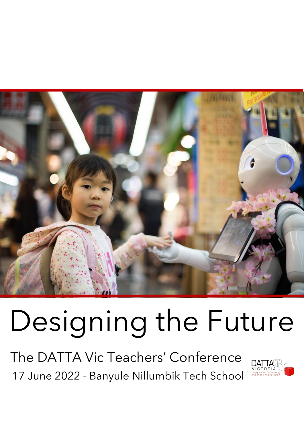

# Designing the Future

The DATTA Vic Teachers' Conference 17 June 2022 - Banyule Nillumbik Tech School

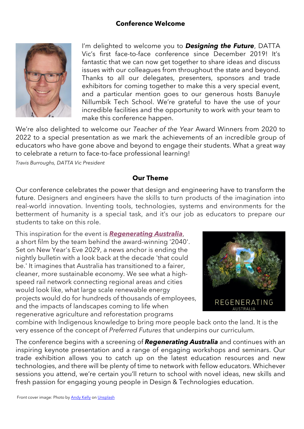## **Conference Welcome**



I'm delighted to welcome you to *Designing the Future*, DATTA Vic's first face-to-face conference since December 2019! It's fantastic that we can now get together to share ideas and discuss issues with our colleagues from throughout the state and beyond. Thanks to all our delegates, presenters, sponsors and trade exhibitors for coming together to make this a very special event, and a particular mention goes to our generous hosts Banuyle Nillumbik Tech School. We're grateful to have the use of your incredible facilities and the opportunity to work with your team to make this conference happen.

We're also delighted to welcome our *Teacher of the Year* Award Winners from 2020 to 2022 to a special presentation as we mark the achievements of an incredible group of educators who have gone above and beyond to engage their students. What a great way to celebrate a return to face-to-face professional learning!

*Travis Burroughs, DATTA Vic President*

## **Our Theme**

Our conference celebrates the power that design and engineering have to transform the future. Designers and engineers have the skills to turn products of the imagination into real-world innovation. Inventing tools, technologies, systems and environments for the betterment of humanity is a special task, and it's our job as educators to prepare our students to take on this role.

This inspiration for the event is *[Regenerating Australia](https://youtu.be/ggCNSlmSecI)*, a short film by the team behind the award-winning '2040'. Set on New Year's Eve 2029, a news anchor is ending the nightly bulletin with a look back at the decade 'that could be.' It imagines that Australia has transitioned to a fairer, cleaner, more sustainable economy. We see what a highspeed rail network connecting regional areas and cities would look like, what large scale renewable energy projects would do for hundreds of thousands of employees, and the impacts of landscapes coming to life when regenerative agriculture and reforestation programs



combine with Indigenous knowledge to bring more people back onto the land. It is the very essence of the concept of *Preferred Futures* that underpins our curriculum.

The conference begins with a screening of *Regenerating Australia* and continues with an inspiring keynote presentation and a range of engaging workshops and seminars. Our trade exhibition allows you to catch up on the latest education resources and new technologies, and there will be plenty of time to network with fellow educators. Whichever sessions you attend, we're certain you'll return to school with novel ideas, new skills and fresh passion for engaging young people in Design & Technologies education.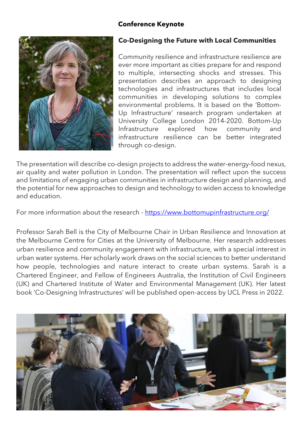## **Conference Keynote**



## **Co-Designing the Future with Local Communities**

Community resilience and infrastructure resilience are ever more important as cities prepare for and respond to multiple, intersecting shocks and stresses. This presentation describes an approach to designing technologies and infrastructures that includes local communities in developing solutions to complex environmental problems. It is based on the 'Bottom-Up Infrastructure' research program undertaken at University College London 2014-2020. Bottom-Up Infrastructure explored how community and infrastructure resilience can be better integrated through co-design.

The presentation will describe co-design projects to address the water-energy-food nexus, air quality and water pollution in London. The presentation will reflect upon the success and limitations of engaging urban communities in infrastructure design and planning, and the potential for new approaches to design and technology to widen access to knowledge and education.

For more information about the research - <https://www.bottomupinfrastructure.org/>

Professor Sarah Bell is the City of Melbourne Chair in Urban Resilience and Innovation at the Melbourne Centre for Cities at the University of Melbourne. Her research addresses urban resilience and community engagement with infrastructure, with a special interest in urban water systems. Her scholarly work draws on the social sciences to better understand how people, technologies and nature interact to create urban systems. Sarah is a Chartered Engineer, and Fellow of Engineers Australia, the Institution of Civil Engineers (UK) and Chartered Institute of Water and Environmental Management (UK). Her latest book 'Co-Designing Infrastructures' will be published open-access by UCL Press in 2022.

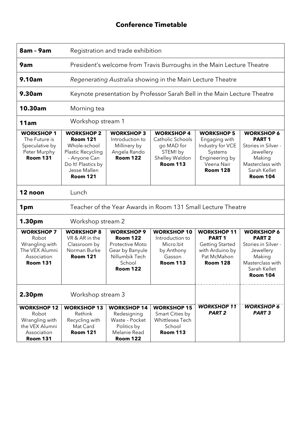## **Conference Timetable**

| 8am - 9am                                                                                         | Registration and trade exhibition                                                                                                                  |                                                                                                                           |                                                                                                      |                                                                                                                      |                                                                                                                                             |
|---------------------------------------------------------------------------------------------------|----------------------------------------------------------------------------------------------------------------------------------------------------|---------------------------------------------------------------------------------------------------------------------------|------------------------------------------------------------------------------------------------------|----------------------------------------------------------------------------------------------------------------------|---------------------------------------------------------------------------------------------------------------------------------------------|
| 9am                                                                                               | President's welcome from Travis Burroughs in the Main Lecture Theatre                                                                              |                                                                                                                           |                                                                                                      |                                                                                                                      |                                                                                                                                             |
| 9.10am                                                                                            | Regenerating Australia showing in the Main Lecture Theatre                                                                                         |                                                                                                                           |                                                                                                      |                                                                                                                      |                                                                                                                                             |
| <b>9.30am</b>                                                                                     | Keynote presentation by Professor Sarah Bell in the Main Lecture Theatre                                                                           |                                                                                                                           |                                                                                                      |                                                                                                                      |                                                                                                                                             |
| 10.30am                                                                                           | Morning tea                                                                                                                                        |                                                                                                                           |                                                                                                      |                                                                                                                      |                                                                                                                                             |
| 11am                                                                                              | Workshop stream 1                                                                                                                                  |                                                                                                                           |                                                                                                      |                                                                                                                      |                                                                                                                                             |
| <b>WORKSHOP1</b><br>The Future is<br>Speculative by<br>Peter Murphy<br><b>Room 131</b>            | <b>WORKSHOP 2</b><br><b>Room 121</b><br>Whole-school<br>Plastic Recycling<br>- Anyone Can<br>Do It! Plastics by<br>Jesse Mallen<br><b>Room 121</b> | <b>WORKSHOP 3</b><br>Introduction to<br>Millinery by<br>Angela Rando<br><b>Room 122</b>                                   | <b>WORKSHOP 4</b><br>Catholic Schools<br>go MAD for<br>STEM! by<br>Shelley Waldon<br><b>Room 113</b> | <b>WORKSHOP 5</b><br>Engaging with<br>Industry for VCE<br>Systems<br>Engineering by<br>Veena Nair<br><b>Room 128</b> | <b>WORKSHOP 6</b><br>PART <sub>1</sub><br>Stories in Silver -<br>Jewellery<br>Making<br>Masterclass with<br>Sarah Kellet<br><b>Room 104</b> |
| 12 noon<br>Lunch                                                                                  |                                                                                                                                                    |                                                                                                                           |                                                                                                      |                                                                                                                      |                                                                                                                                             |
| Teacher of the Year Awards in Room 131 Small Lecture Theatre<br>1pm                               |                                                                                                                                                    |                                                                                                                           |                                                                                                      |                                                                                                                      |                                                                                                                                             |
| 1.30pm<br>Workshop stream 2                                                                       |                                                                                                                                                    |                                                                                                                           |                                                                                                      |                                                                                                                      |                                                                                                                                             |
| <b>WORKSHOP 7</b><br>Robot<br>Wrangling with<br>The VEX Alumni<br>Association<br><b>Room 131</b>  | <b>WORKSHOP 8</b><br>VR & AR in the<br>Classroom by<br>Norman Burke<br><b>Room 121</b>                                                             | <b>WORKSHOP 9</b><br><b>Room 122</b><br>Protective Moto<br>Gear by Banyule<br>Nillumbik Tech<br>School<br><b>Room 122</b> | <b>WORKSHOP 10</b><br>Introduction to<br>Micro:bit<br>by Anthony<br>Gasson<br><b>Room 113</b>        | <b>WORKSHOP 11</b><br><b>PART1</b><br><b>Getting Started</b><br>with Arduino by<br>Pat McMahon<br><b>Room 128</b>    | <b>WORKSHOP 6</b><br><b>PART 2</b><br>Stories in Silver -<br>Jewellery<br>Making<br>Masterclass with<br>Sarah Kellet<br><b>Room 104</b>     |
| Workshop stream 3<br>2.30pm                                                                       |                                                                                                                                                    |                                                                                                                           |                                                                                                      |                                                                                                                      |                                                                                                                                             |
| <b>WORKSHOP 12</b><br>Robot<br>Wrangling with<br>the VEX Alumni<br>Association<br><b>Room 131</b> | <b>WORKSHOP 13</b><br>Rethink<br>Recycling with<br>Mat Card<br><b>Room 121</b>                                                                     | <b>WORKSHOP 14</b><br>Redesigning<br>Waste - Pocket<br>Politics by<br>Melanie Read<br><b>Room 122</b>                     | <b>WORKSHOP 15</b><br>Smart Cities by<br>Whittlesea Tech<br>School<br><b>Room 113</b>                | <b>WORKSHOP 11</b><br><b>PART 2</b>                                                                                  | <b>WORKSHOP 6</b><br><b>PART 3</b>                                                                                                          |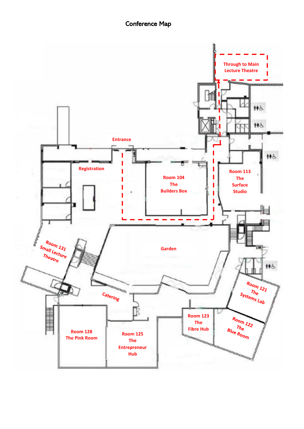## Conference Map

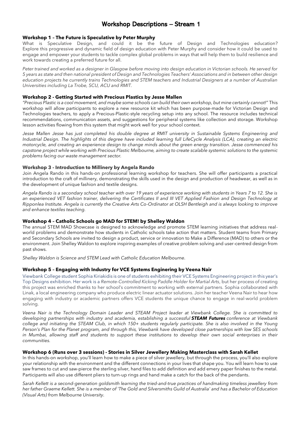## Workshop Descriptions – Stream 1

#### **Workshop 1 – The Future is Speculative by Peter Murphy**

What is Speculative Design, and could it be the future of Design and Technologies education? Explore this progressive and dynamic field of design education with Peter Murphy and consider how it could be used to engage and empower your students to tackle complex global problems in ways that will help them to build resilience and work towards creating a preferred future for all.

*Peter trained and worked as a designer in Glasgow before moving into design education in Victorian schools. He served for 5 years as state and then national president of Design and Technologies Teachers' Associations and in between other design education projects he currently trains Technologies and STEM teachers and Industrial Designers at a number of Australian Universities including La Trobe, SCU, ACU and RMIT.*

#### **Workshop 2 - Getting Started with Precious Plastics by Jesse Mallen**

"Precious Plastic is a cool movement, and maybe some schools can build their own workshop, but mine certainly cannot!" This workshop will allow participants to explore a new resource kit which has been purpose-made for Victorian Design and Technologies teachers, to apply a Precious-Plastic-style recycling setup into any school. The resource includes technical recommendations, communication assets, and suggestions for peripheral systems like collection and storage. Workshop lesson activities flowing from this system that might work well for your school context.

*Jesse Mallen Jesse has just completed his double degree at RMIT university in Sustainable Systems Engineering and* Industrial Design. The highlights of this degree have included learning full LifeCycle Analysis (LCA), creating an electric motorcycle, and creating an experience design to change minds about the green energy transition. Jesse commenced his capstone project while working with Precious Plastic Melbourne, aiming to create scalable systemic solutions to the systemic *problems facing our waste management sector.*

#### **Workshop 3 - Introduction to Millinery by Angela Rando**

Join Angela Rando in this hands-on professional learning workshop for teachers. She will offer participants a practical introduction to the craft of millinery, demonstrating the skills used in the design and production of headwear, as well as in the development of unique fashion and textile designs.

*Angela Rando is a secondary school teacher with over 19 years of experience working with students in Years 7 to 12. She is an experienced VET fashion trainer, delivering the Certificates II and III VET Applied Fashion and Design Technology at Ripponlea Institute. Angela is currently the Creative Arts Co-Ordinator at OLSH Bentleigh and is always looking to improve and enhance textiles teaching.*

#### **Workshop 4 – Catholic Schools go MAD for STEM! by Shelley Waldon**

The annual STEM MAD Showcase is designed to acknowledge and promote STEM learning initiatives that address realworld problems and demonstrate how students in Catholic schools take action that matters. Student teams from Primary and Secondary Schools are invited to design a product, service or innovation to Make a Difference (MAD) to others or the environment. Join Shelley Waldon to explore inspiring examples of creative problem solving and user-centred design from past shows.

*Shelley Waldon is Science and STEM Lead with Catholic Education Melbourne.*

#### **Workshop 5 – Engaging with Industry for VCE Systems Enginering by Veena Nair**

Viewbank College student Sophia Kiriakidis is one of students exhibiting their VCE Systems Engineering project in this year's Top Designs exhibition. Her work is a *Remote-Controlled Kicking Paddle Holder for Martial Arts*, but her process of creating this project was enriched thanks to her school's commitment to working with external partners. Sophia collaborated with Linak, a local engineering company who produce electric linear actuator solutions. Join her teacher Veena Nair to hear how engaging with industry or academic partners offers VCE students the unique chance to engage in real-world problem solving.

*Veena Nair is the Technology Domain Leader and STEAM Project leader at Viewbank College. She is committed to developing partnerships with industry and academia, establishing a successful STEAM Futures conference at Viewbank* college and initiating the STEAM Club, in which 150+ students regularly participate. She is also involved in the Young Person's Plan for the Planet program, and through this, Viewbank have developed close partnerships with low SES schools in Mumbai, allowing staff and students to support these institutions to develop their own social enterprises in their *communities.*

#### **Workshop 6 (Runs over 3 sessions) - Stories in Silver Jewellery Making Masterclass with Sarah Kellet**

In this hands-on workshop, you'll learn how to make a piece of silver jewellery, but through the process, you'll also explore your relationship with the environment and the different connections in your lives that shape you. You will learn how to use saw frames to cut and saw-pierce the sterling silver, hand files to add definition and add emery paper finishes to the metal. Participants will also use different pliers to turn-up rings and hand make a catch for the back of the pendants.

*Sarah Kellett is a second-generation goldsmith learning the tried-and-true practices of handmaking timeless jewellery from her father Graeme Kellett. She is a member of 'The Gold and Silversmiths Guild of Australia' and has a Bachelor of Education (Visual Arts) from Melbourne University.*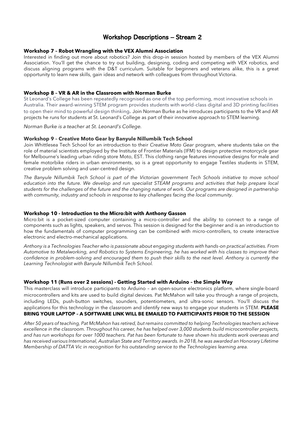## Workshop Descriptions – Stream 2

#### **Workshop 7 – Robot Wrangling with the VEX Alumni Association**

Interested in finding out more about robotics? Join this drop-in session hosted by members of the VEX Alumni Association. You'll get the chance to try out building, designing, coding and competing with VEX robotics, and discuss aligning programs with the D&T curriculum. Suitable for beginners and veterans alike, this is a great opportunity to learn new skills, gain ideas and network with colleagues from throughout Victoria.

#### **Workshop 8 – VR & AR in the Classroom with Norman Burke**

St Leonard's College has been repeatedly recognised as one of the top performing, most innovative schools in Australia. Their award-winning STEM program provides students with world-class digital and 3D printing facilities to open their mind to powerful design thinking. Join Norman Burke as he introduces participants to the VR and AR projects he runs for students at St. Leonard's College as part of their innovative approach to STEM learning.

*Norman Burke is a teacher at St. Leonard's College.* 

#### **Workshop 9 – Creative Moto Gear by Banyule Nillumbik Tech School**

Join Whittlesea Tech School for an introduction to their *Creative Moto Gear* program, where students take on the role of material scientists employed by the Institute of Frontier Materials (IFM) to design protective motorcycle gear for Melbourne's leading urban riding store Moto, EST. This clothing range features innovative designs for male and female motorbike riders in urban environments, so is a great opportunity to engage Textiles students in STEM, creative problem solving and user-centred design.

*The Banyule Nillumbik Tech School is part of the Victorian government Tech Schools initiative to move school*  education into the future. We develop and run specialist STEAM programs and activities that help prepare local *students for the challenges of the future and the changing nature of work. Our programs are designed in partnership with community, industry and schools in response to key challenges facing the local community.*

#### **Workshop 10 - Introduction to the Micro:bit with Anthony Gasson**

Micro:bit is a pocket-sized computer containing a micro-controller and the ability to connect to a range of components such as lights, speakers, and servos. This session is designed for the beginner and is an introduction to how the fundamentals of computer programming can be combined with micro-controllers, to create interactive electronic and electro-mechanical applications.

*Anthony is a Technologies Teacher who is passionate about engaging students with hands-on practical activities. From Automotive to Metalworking, and Robotics to Systems Engineering, he has worked with his classes to improve their confidence in problem-solving and encouraged them to push their skills to the next level. Anthony is currently the Learning Technologist with Banyule Nillumbik Tech School.*

#### **Workshop 11 (Runs over 2 sessions) - Getting Started with Arduino – the Simple Way**

This masterclass will introduce participants to Arduino – an open-source electronics platform, where single-board microcontrollers and kits are used to build digital devices. Pat McMahon will take you through a range of projects, including LEDs, push-button switches, sounders, potentiometers, and ultra-sonic sensors. You'll discuss the applications for this technology in the classroom and identify new ways to engage your students in STEM. **PLEASE BRING YOUR LAPTOP – A SOFTWARE LINK WILL BE EMAILED TO PARTICIPANTS PRIOR TO THE SESSION**

*After 50 years of teaching, Pat McMahon has retired, but remains committed to helping Technologies teachers achieve excellence in the classroom. Throughout his career, he has helped over 3,000 students build microcontroller projects, and has run workshops for over 1000 teachers. Pat has been fortunate to have shown his students work overseas and has received various International, Australian State and Territory awards. In 2018, he was awarded an Honorary Lifetime Membership of DATTA Vic in recognition for his outstanding service to the Technologies learning area.*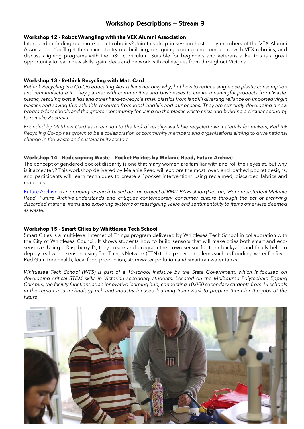## Workshop Descriptions – Stream 3

#### **Workshop 12 - Robot Wrangling with the VEX Alumni Association**

Interested in finding out more about robotics? Join this drop-in session hosted by members of the VEX Alumni Association. You'll get the chance to try out building, designing, coding and competing with VEX robotics, and discuss aligning programs with the D&T curriculum. Suitable for beginners and veterans alike, this is a great opportunity to learn new skills, gain ideas and network with colleagues from throughout Victoria.

#### **Workshop 13 - Rethink Recycling with Matt Card**

Rethink Recycling is a Co-Op educating Australians not only why, but how to reduce single use plastic consumption *and remanufacture it. They partner with communities and businesses to create meaningful products from 'waste'* plastic, rescuing bottle lids and other hard-to-recycle small plastics from landfill diverting reliance on imported virgin plastics and saving this valuable resource from local landfills and our oceans. They are currently developing a new program for schools and the greater community focusing on the plastic waste crisis and building a circular economy *to remake Australia.*

Founded by Matthew Card as a reaction to the lack of readily-available recycled raw materials for makers, Rethink Recycling Co-op has grown to be a collaboration of community members and organisations aiming to drive national *change in the waste and sustainability sectors.*

#### **Workshop 14 – Redesigning Waste – Pocket Politics by Melanie Read, Future Archive**

The concept of gendered pocket disparity is one that many women are familiar with and roll their eyes at, but why is it accepted? This workshop delivered by Melanie Read will explore the most loved and loathed pocket designs, and participants will learn techniques to create a "pocket intervention" using reclaimed, discarded fabrics and materials.

[Future Archive](https://rmit.fashionandtextiles.design/2021/melanie-read) is *an ongoing research-based design project of RMIT BA Fashion (Design) (Honours) student Melanie Read. Future Archive understands and critiques contemporary consumer culture through the act of archiving discarded material items and exploring systems of reassigning value and sentimentality to items otherwise deemed as waste.*

#### **Workshop 15 - Smart Cities by Whittlesea Tech School**

Smart Cities is a multi-level Internet of Things program delivered by Whittlesea Tech School in collaboration with the City of Whittlesea Council. It shows students how to build sensors that will make cities both smart and ecosensitive. Using a Raspberry Pi, they create and program their own sensor for their backyard and finally help to deploy real-world sensors using The Things Network (TTN) to help solve problems such as flooding, water for River Red Gum tree health, local food production, stormwater pollution and smart rainwater tanks.

*Whittlesea Tech School (WTS) is part of a 10-school initiative by the State Government, which is focused on developing critical STEM skills in Victorian secondary students. Located on the Melbourne Polytechnic Epping Campus, the facility functions as an innovative learning hub, connecting 10,000 secondary students from 14 schools in the region to a technology-rich and industry-focused learning framework to prepare them for the jobs of the future.*